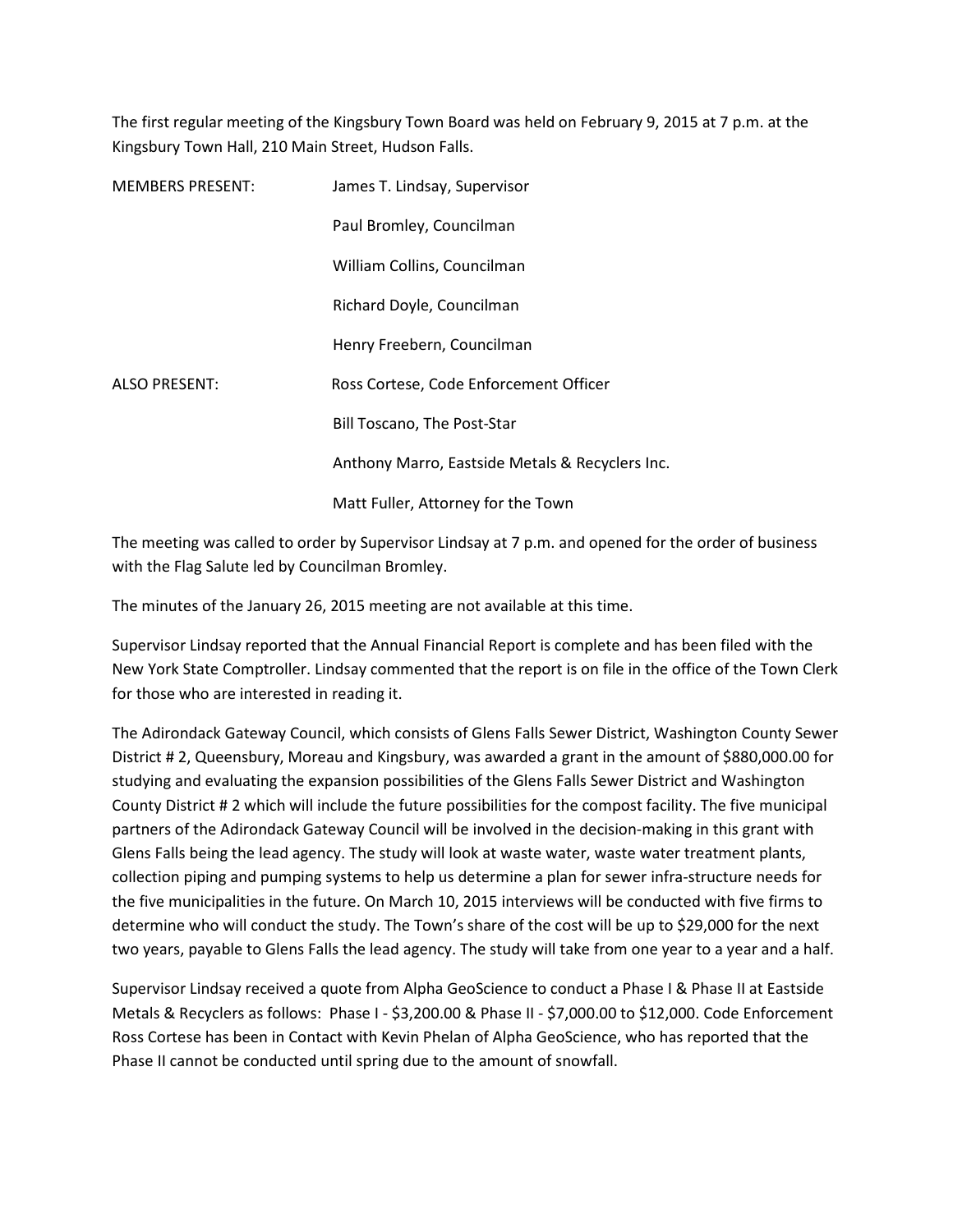The first regular meeting of the Kingsbury Town Board was held on February 9, 2015 at 7 p.m. at the Kingsbury Town Hall, 210 Main Street, Hudson Falls.

| <b>MEMBERS PRESENT:</b> | James T. Lindsay, Supervisor                    |
|-------------------------|-------------------------------------------------|
|                         | Paul Bromley, Councilman                        |
|                         | William Collins, Councilman                     |
|                         | Richard Doyle, Councilman                       |
|                         | Henry Freebern, Councilman                      |
| <b>ALSO PRESENT:</b>    | Ross Cortese, Code Enforcement Officer          |
|                         | Bill Toscano, The Post-Star                     |
|                         | Anthony Marro, Eastside Metals & Recyclers Inc. |
|                         | Matt Fuller, Attorney for the Town              |

The meeting was called to order by Supervisor Lindsay at 7 p.m. and opened for the order of business with the Flag Salute led by Councilman Bromley.

The minutes of the January 26, 2015 meeting are not available at this time.

Supervisor Lindsay reported that the Annual Financial Report is complete and has been filed with the New York State Comptroller. Lindsay commented that the report is on file in the office of the Town Clerk for those who are interested in reading it.

The Adirondack Gateway Council, which consists of Glens Falls Sewer District, Washington County Sewer District # 2, Queensbury, Moreau and Kingsbury, was awarded a grant in the amount of \$880,000.00 for studying and evaluating the expansion possibilities of the Glens Falls Sewer District and Washington County District # 2 which will include the future possibilities for the compost facility. The five municipal partners of the Adirondack Gateway Council will be involved in the decision-making in this grant with Glens Falls being the lead agency. The study will look at waste water, waste water treatment plants, collection piping and pumping systems to help us determine a plan for sewer infra-structure needs for the five municipalities in the future. On March 10, 2015 interviews will be conducted with five firms to determine who will conduct the study. The Town's share of the cost will be up to \$29,000 for the next two years, payable to Glens Falls the lead agency. The study will take from one year to a year and a half.

Supervisor Lindsay received a quote from Alpha GeoScience to conduct a Phase I & Phase II at Eastside Metals & Recyclers as follows: Phase I - \$3,200.00 & Phase II - \$7,000.00 to \$12,000. Code Enforcement Ross Cortese has been in Contact with Kevin Phelan of Alpha GeoScience, who has reported that the Phase II cannot be conducted until spring due to the amount of snowfall.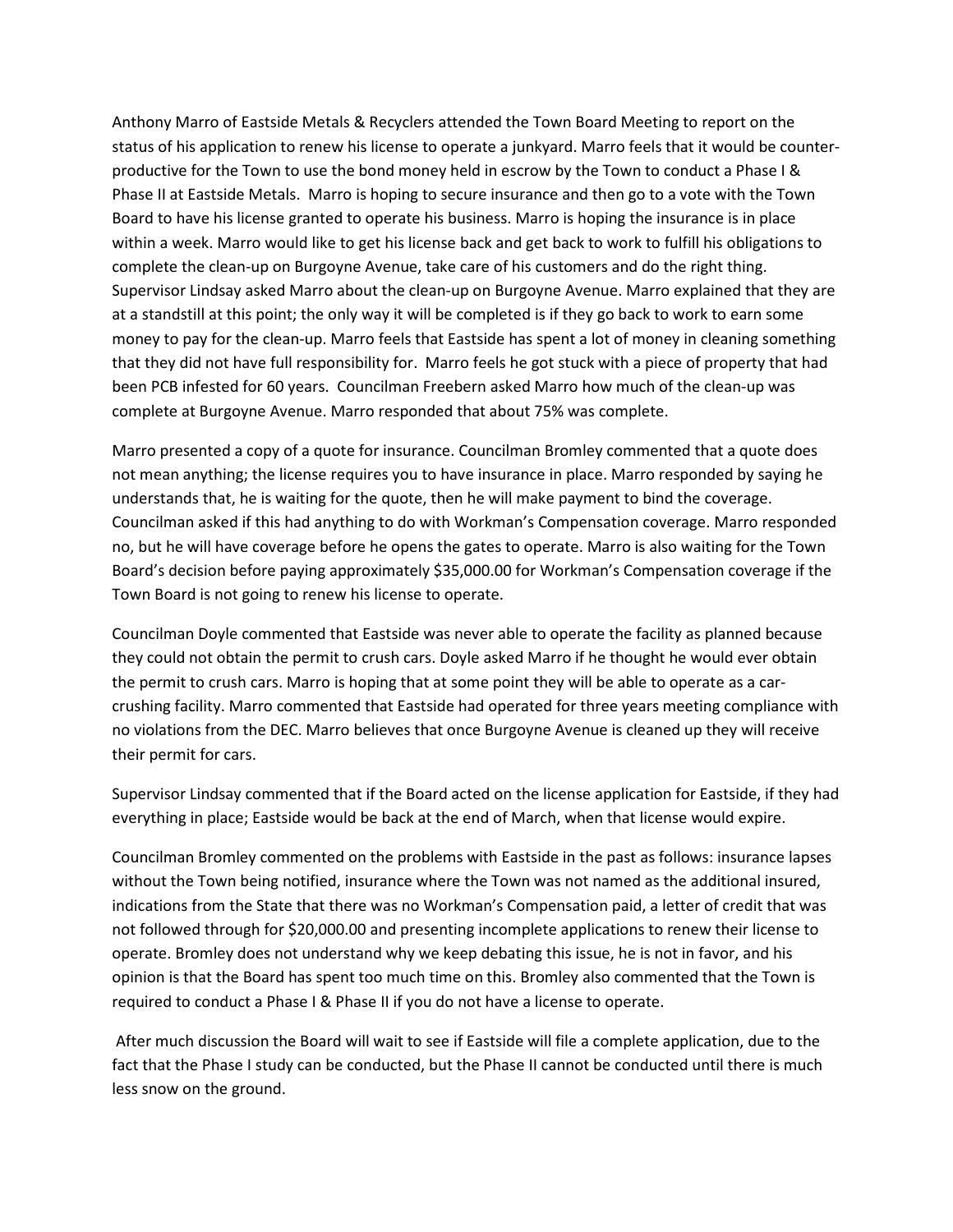Anthony Marro of Eastside Metals & Recyclers attended the Town Board Meeting to report on the status of his application to renew his license to operate a junkyard. Marro feels that it would be counterproductive for the Town to use the bond money held in escrow by the Town to conduct a Phase I & Phase II at Eastside Metals. Marro is hoping to secure insurance and then go to a vote with the Town Board to have his license granted to operate his business. Marro is hoping the insurance is in place within a week. Marro would like to get his license back and get back to work to fulfill his obligations to complete the clean-up on Burgoyne Avenue, take care of his customers and do the right thing. Supervisor Lindsay asked Marro about the clean-up on Burgoyne Avenue. Marro explained that they are at a standstill at this point; the only way it will be completed is if they go back to work to earn some money to pay for the clean-up. Marro feels that Eastside has spent a lot of money in cleaning something that they did not have full responsibility for. Marro feels he got stuck with a piece of property that had been PCB infested for 60 years. Councilman Freebern asked Marro how much of the clean-up was complete at Burgoyne Avenue. Marro responded that about 75% was complete.

Marro presented a copy of a quote for insurance. Councilman Bromley commented that a quote does not mean anything; the license requires you to have insurance in place. Marro responded by saying he understands that, he is waiting for the quote, then he will make payment to bind the coverage. Councilman asked if this had anything to do with Workman's Compensation coverage. Marro responded no, but he will have coverage before he opens the gates to operate. Marro is also waiting for the Town Board's decision before paying approximately \$35,000.00 for Workman's Compensation coverage if the Town Board is not going to renew his license to operate.

Councilman Doyle commented that Eastside was never able to operate the facility as planned because they could not obtain the permit to crush cars. Doyle asked Marro if he thought he would ever obtain the permit to crush cars. Marro is hoping that at some point they will be able to operate as a carcrushing facility. Marro commented that Eastside had operated for three years meeting compliance with no violations from the DEC. Marro believes that once Burgoyne Avenue is cleaned up they will receive their permit for cars.

Supervisor Lindsay commented that if the Board acted on the license application for Eastside, if they had everything in place; Eastside would be back at the end of March, when that license would expire.

Councilman Bromley commented on the problems with Eastside in the past as follows: insurance lapses without the Town being notified, insurance where the Town was not named as the additional insured, indications from the State that there was no Workman's Compensation paid, a letter of credit that was not followed through for \$20,000.00 and presenting incomplete applications to renew their license to operate. Bromley does not understand why we keep debating this issue, he is not in favor, and his opinion is that the Board has spent too much time on this. Bromley also commented that the Town is required to conduct a Phase I & Phase II if you do not have a license to operate.

 After much discussion the Board will wait to see if Eastside will file a complete application, due to the fact that the Phase I study can be conducted, but the Phase II cannot be conducted until there is much less snow on the ground.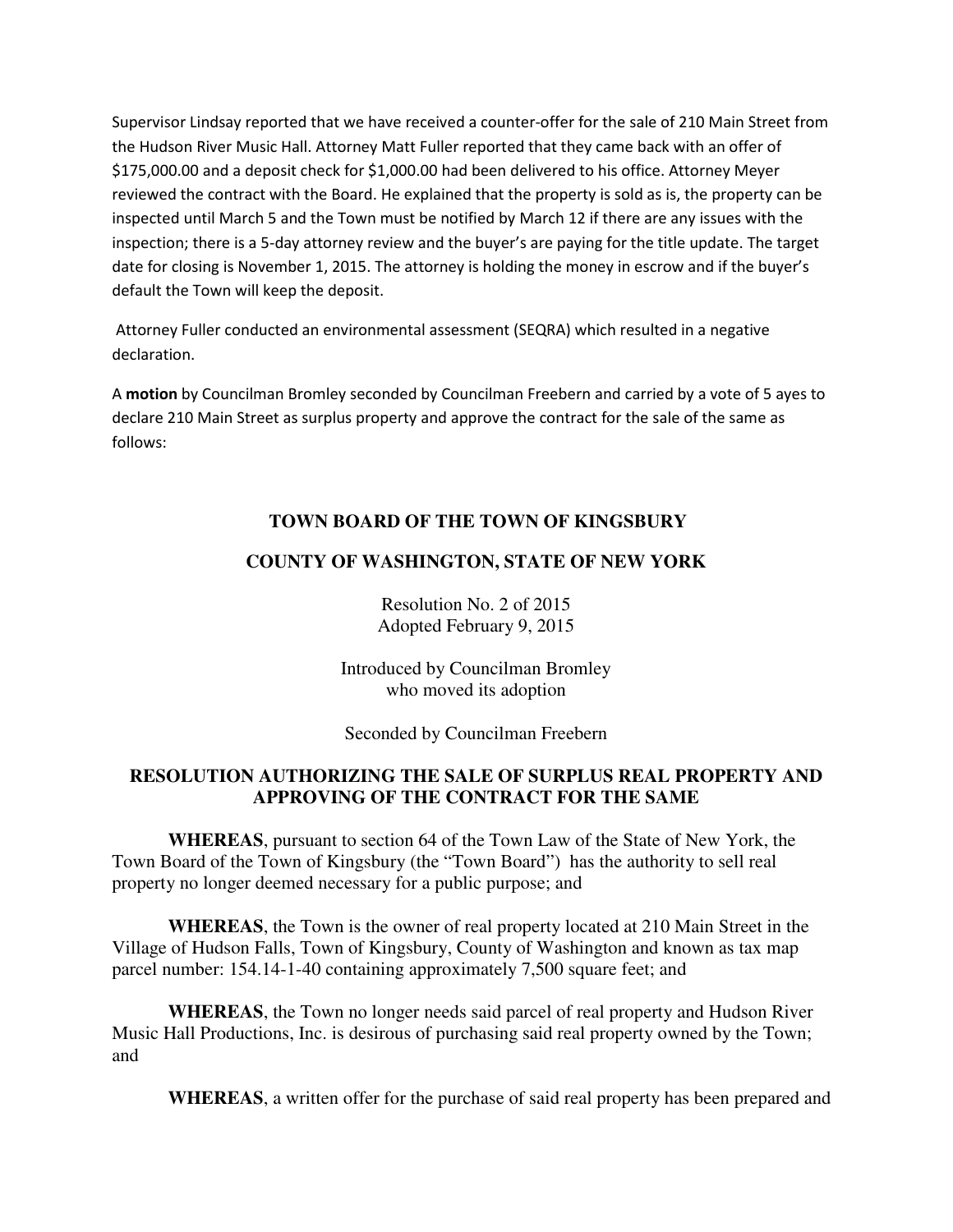Supervisor Lindsay reported that we have received a counter-offer for the sale of 210 Main Street from the Hudson River Music Hall. Attorney Matt Fuller reported that they came back with an offer of \$175,000.00 and a deposit check for \$1,000.00 had been delivered to his office. Attorney Meyer reviewed the contract with the Board. He explained that the property is sold as is, the property can be inspected until March 5 and the Town must be notified by March 12 if there are any issues with the inspection; there is a 5-day attorney review and the buyer's are paying for the title update. The target date for closing is November 1, 2015. The attorney is holding the money in escrow and if the buyer's default the Town will keep the deposit.

 Attorney Fuller conducted an environmental assessment (SEQRA) which resulted in a negative declaration.

A **motion** by Councilman Bromley seconded by Councilman Freebern and carried by a vote of 5 ayes to declare 210 Main Street as surplus property and approve the contract for the sale of the same as follows:

# **TOWN BOARD OF THE TOWN OF KINGSBURY**

# **COUNTY OF WASHINGTON, STATE OF NEW YORK**

Resolution No. 2 of 2015 Adopted February 9, 2015

Introduced by Councilman Bromley who moved its adoption

Seconded by Councilman Freebern

## **RESOLUTION AUTHORIZING THE SALE OF SURPLUS REAL PROPERTY AND APPROVING OF THE CONTRACT FOR THE SAME**

**WHEREAS**, pursuant to section 64 of the Town Law of the State of New York, the Town Board of the Town of Kingsbury (the "Town Board") has the authority to sell real property no longer deemed necessary for a public purpose; and

**WHEREAS**, the Town is the owner of real property located at 210 Main Street in the Village of Hudson Falls, Town of Kingsbury, County of Washington and known as tax map parcel number: 154.14-1-40 containing approximately 7,500 square feet; and

**WHEREAS**, the Town no longer needs said parcel of real property and Hudson River Music Hall Productions, Inc. is desirous of purchasing said real property owned by the Town; and

**WHEREAS**, a written offer for the purchase of said real property has been prepared and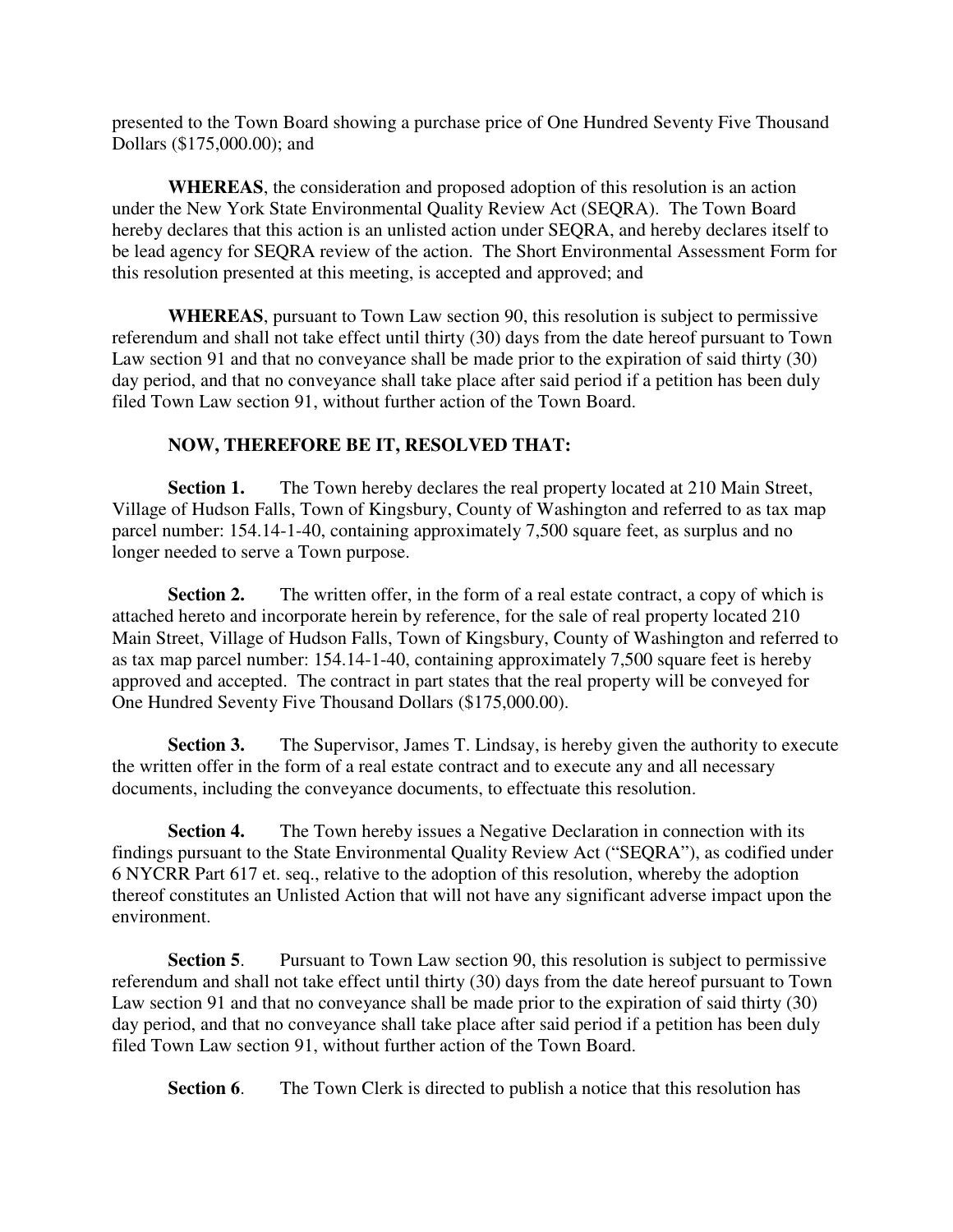presented to the Town Board showing a purchase price of One Hundred Seventy Five Thousand Dollars (\$175,000.00); and

**WHEREAS**, the consideration and proposed adoption of this resolution is an action under the New York State Environmental Quality Review Act (SEQRA). The Town Board hereby declares that this action is an unlisted action under SEQRA, and hereby declares itself to be lead agency for SEQRA review of the action. The Short Environmental Assessment Form for this resolution presented at this meeting, is accepted and approved; and

**WHEREAS**, pursuant to Town Law section 90, this resolution is subject to permissive referendum and shall not take effect until thirty (30) days from the date hereof pursuant to Town Law section 91 and that no conveyance shall be made prior to the expiration of said thirty (30) day period, and that no conveyance shall take place after said period if a petition has been duly filed Town Law section 91, without further action of the Town Board.

# **NOW, THEREFORE BE IT, RESOLVED THAT:**

**Section 1.** The Town hereby declares the real property located at 210 Main Street, Village of Hudson Falls, Town of Kingsbury, County of Washington and referred to as tax map parcel number: 154.14-1-40, containing approximately 7,500 square feet, as surplus and no longer needed to serve a Town purpose.

**Section 2.** The written offer, in the form of a real estate contract, a copy of which is attached hereto and incorporate herein by reference, for the sale of real property located 210 Main Street, Village of Hudson Falls, Town of Kingsbury, County of Washington and referred to as tax map parcel number: 154.14-1-40, containing approximately 7,500 square feet is hereby approved and accepted. The contract in part states that the real property will be conveyed for One Hundred Seventy Five Thousand Dollars (\$175,000.00).

**Section 3.** The Supervisor, James T. Lindsay, is hereby given the authority to execute the written offer in the form of a real estate contract and to execute any and all necessary documents, including the conveyance documents, to effectuate this resolution.

**Section 4.** The Town hereby issues a Negative Declaration in connection with its findings pursuant to the State Environmental Quality Review Act ("SEQRA"), as codified under 6 NYCRR Part 617 et. seq., relative to the adoption of this resolution, whereby the adoption thereof constitutes an Unlisted Action that will not have any significant adverse impact upon the environment.

**Section 5.** Pursuant to Town Law section 90, this resolution is subject to permissive referendum and shall not take effect until thirty (30) days from the date hereof pursuant to Town Law section 91 and that no conveyance shall be made prior to the expiration of said thirty (30) day period, and that no conveyance shall take place after said period if a petition has been duly filed Town Law section 91, without further action of the Town Board.

**Section 6.** The Town Clerk is directed to publish a notice that this resolution has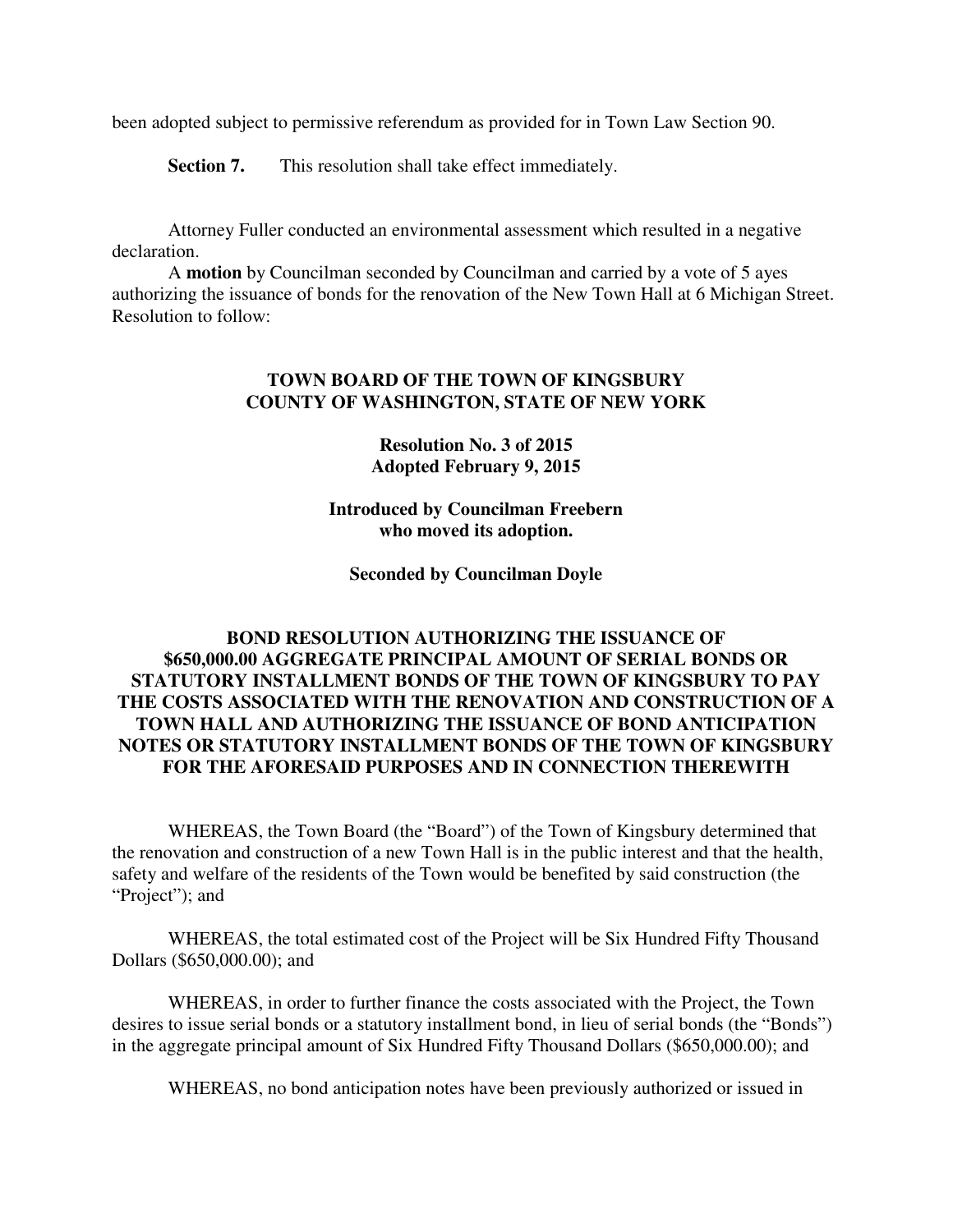been adopted subject to permissive referendum as provided for in Town Law Section 90.

**Section 7.** This resolution shall take effect immediately.

Attorney Fuller conducted an environmental assessment which resulted in a negative declaration.

A **motion** by Councilman seconded by Councilman and carried by a vote of 5 ayes authorizing the issuance of bonds for the renovation of the New Town Hall at 6 Michigan Street. Resolution to follow:

#### **TOWN BOARD OF THE TOWN OF KINGSBURY COUNTY OF WASHINGTON, STATE OF NEW YORK**

#### **Resolution No. 3 of 2015 Adopted February 9, 2015**

**Introduced by Councilman Freebern who moved its adoption.** 

**Seconded by Councilman Doyle** 

## **BOND RESOLUTION AUTHORIZING THE ISSUANCE OF \$650,000.00 AGGREGATE PRINCIPAL AMOUNT OF SERIAL BONDS OR STATUTORY INSTALLMENT BONDS OF THE TOWN OF KINGSBURY TO PAY THE COSTS ASSOCIATED WITH THE RENOVATION AND CONSTRUCTION OF A TOWN HALL AND AUTHORIZING THE ISSUANCE OF BOND ANTICIPATION NOTES OR STATUTORY INSTALLMENT BONDS OF THE TOWN OF KINGSBURY FOR THE AFORESAID PURPOSES AND IN CONNECTION THEREWITH**

 WHEREAS, the Town Board (the "Board") of the Town of Kingsbury determined that the renovation and construction of a new Town Hall is in the public interest and that the health, safety and welfare of the residents of the Town would be benefited by said construction (the "Project"); and

 WHEREAS, the total estimated cost of the Project will be Six Hundred Fifty Thousand Dollars (\$650,000.00); and

 WHEREAS, in order to further finance the costs associated with the Project, the Town desires to issue serial bonds or a statutory installment bond, in lieu of serial bonds (the "Bonds") in the aggregate principal amount of Six Hundred Fifty Thousand Dollars (\$650,000.00); and

WHEREAS, no bond anticipation notes have been previously authorized or issued in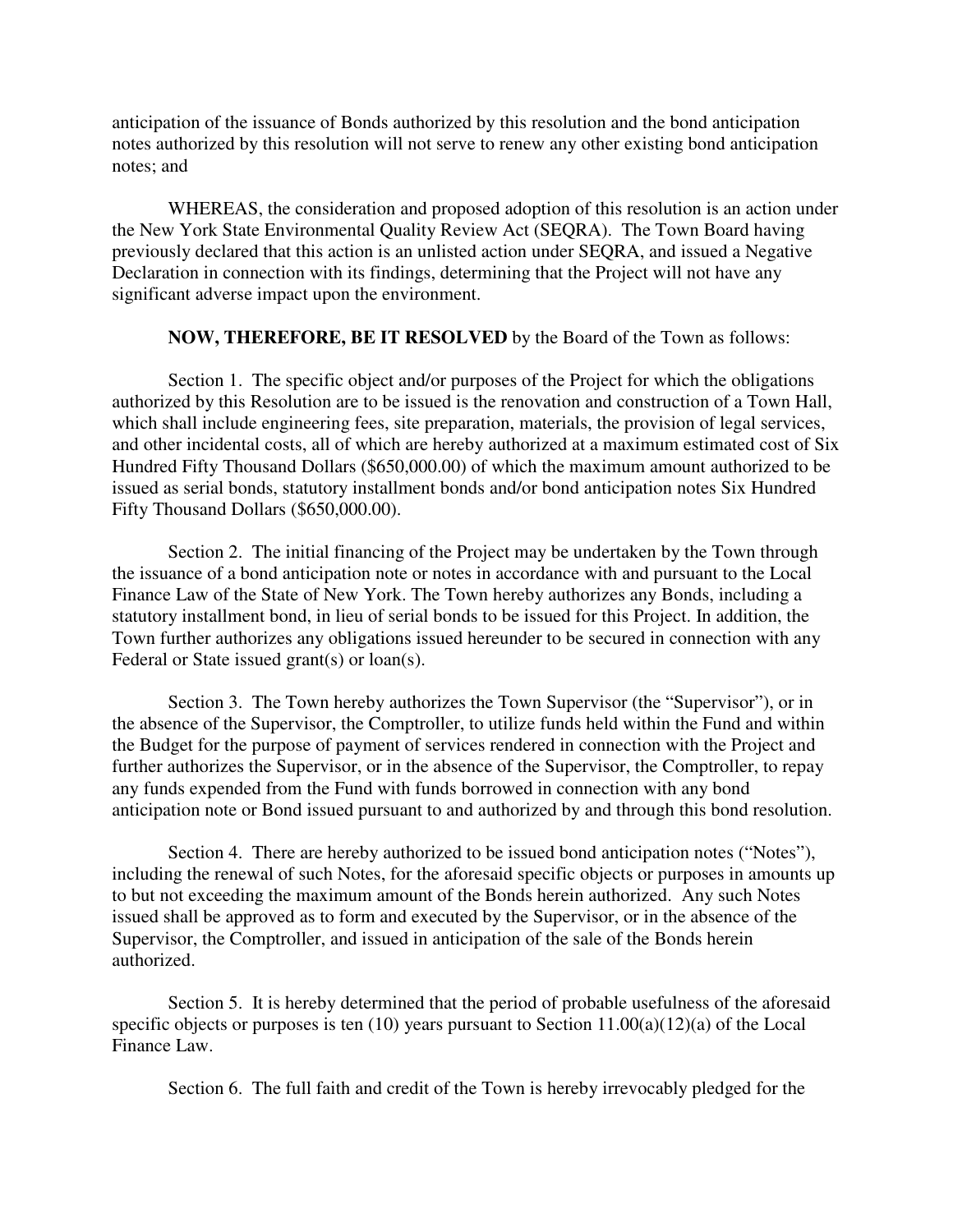anticipation of the issuance of Bonds authorized by this resolution and the bond anticipation notes authorized by this resolution will not serve to renew any other existing bond anticipation notes; and

 WHEREAS, the consideration and proposed adoption of this resolution is an action under the New York State Environmental Quality Review Act (SEQRA). The Town Board having previously declared that this action is an unlisted action under SEQRA, and issued a Negative Declaration in connection with its findings, determining that the Project will not have any significant adverse impact upon the environment.

#### **NOW, THEREFORE, BE IT RESOLVED** by the Board of the Town as follows:

 Section 1. The specific object and/or purposes of the Project for which the obligations authorized by this Resolution are to be issued is the renovation and construction of a Town Hall, which shall include engineering fees, site preparation, materials, the provision of legal services, and other incidental costs, all of which are hereby authorized at a maximum estimated cost of Six Hundred Fifty Thousand Dollars (\$650,000.00) of which the maximum amount authorized to be issued as serial bonds, statutory installment bonds and/or bond anticipation notes Six Hundred Fifty Thousand Dollars (\$650,000.00).

 Section 2. The initial financing of the Project may be undertaken by the Town through the issuance of a bond anticipation note or notes in accordance with and pursuant to the Local Finance Law of the State of New York. The Town hereby authorizes any Bonds, including a statutory installment bond, in lieu of serial bonds to be issued for this Project. In addition, the Town further authorizes any obligations issued hereunder to be secured in connection with any Federal or State issued grant(s) or loan(s).

 Section 3. The Town hereby authorizes the Town Supervisor (the "Supervisor"), or in the absence of the Supervisor, the Comptroller, to utilize funds held within the Fund and within the Budget for the purpose of payment of services rendered in connection with the Project and further authorizes the Supervisor, or in the absence of the Supervisor, the Comptroller, to repay any funds expended from the Fund with funds borrowed in connection with any bond anticipation note or Bond issued pursuant to and authorized by and through this bond resolution.

 Section 4. There are hereby authorized to be issued bond anticipation notes ("Notes"), including the renewal of such Notes, for the aforesaid specific objects or purposes in amounts up to but not exceeding the maximum amount of the Bonds herein authorized. Any such Notes issued shall be approved as to form and executed by the Supervisor, or in the absence of the Supervisor, the Comptroller, and issued in anticipation of the sale of the Bonds herein authorized.

 Section 5. It is hereby determined that the period of probable usefulness of the aforesaid specific objects or purposes is ten (10) years pursuant to Section 11.00(a)(12)(a) of the Local Finance Law.

Section 6. The full faith and credit of the Town is hereby irrevocably pledged for the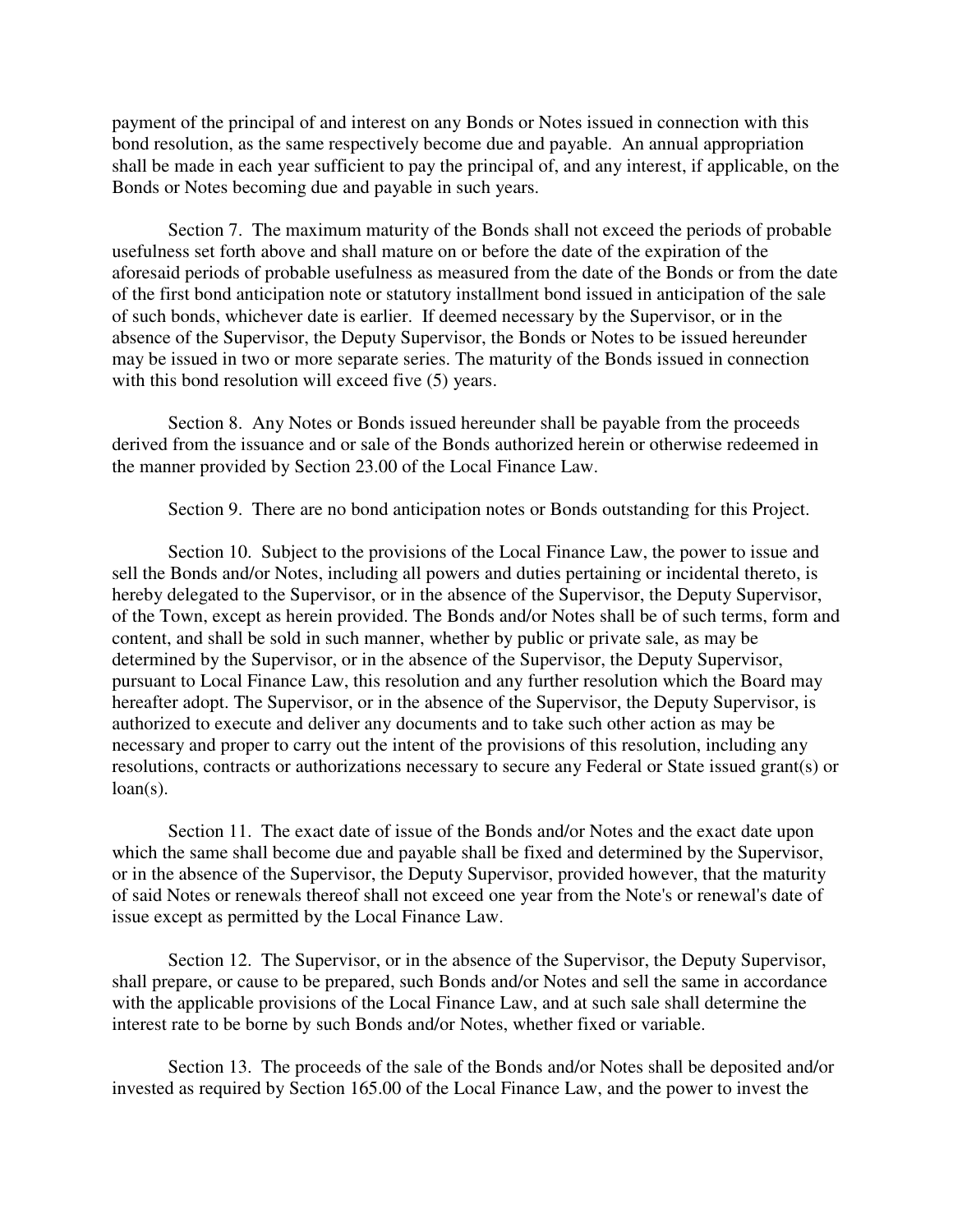payment of the principal of and interest on any Bonds or Notes issued in connection with this bond resolution, as the same respectively become due and payable. An annual appropriation shall be made in each year sufficient to pay the principal of, and any interest, if applicable, on the Bonds or Notes becoming due and payable in such years.

Section 7. The maximum maturity of the Bonds shall not exceed the periods of probable usefulness set forth above and shall mature on or before the date of the expiration of the aforesaid periods of probable usefulness as measured from the date of the Bonds or from the date of the first bond anticipation note or statutory installment bond issued in anticipation of the sale of such bonds, whichever date is earlier. If deemed necessary by the Supervisor, or in the absence of the Supervisor, the Deputy Supervisor, the Bonds or Notes to be issued hereunder may be issued in two or more separate series. The maturity of the Bonds issued in connection with this bond resolution will exceed five (5) years.

 Section 8. Any Notes or Bonds issued hereunder shall be payable from the proceeds derived from the issuance and or sale of the Bonds authorized herein or otherwise redeemed in the manner provided by Section 23.00 of the Local Finance Law.

Section 9. There are no bond anticipation notes or Bonds outstanding for this Project.

 Section 10. Subject to the provisions of the Local Finance Law, the power to issue and sell the Bonds and/or Notes, including all powers and duties pertaining or incidental thereto, is hereby delegated to the Supervisor, or in the absence of the Supervisor, the Deputy Supervisor, of the Town, except as herein provided. The Bonds and/or Notes shall be of such terms, form and content, and shall be sold in such manner, whether by public or private sale, as may be determined by the Supervisor, or in the absence of the Supervisor, the Deputy Supervisor, pursuant to Local Finance Law, this resolution and any further resolution which the Board may hereafter adopt. The Supervisor, or in the absence of the Supervisor, the Deputy Supervisor, is authorized to execute and deliver any documents and to take such other action as may be necessary and proper to carry out the intent of the provisions of this resolution, including any resolutions, contracts or authorizations necessary to secure any Federal or State issued grant(s) or  $loan(s)$ .

 Section 11. The exact date of issue of the Bonds and/or Notes and the exact date upon which the same shall become due and payable shall be fixed and determined by the Supervisor, or in the absence of the Supervisor, the Deputy Supervisor, provided however, that the maturity of said Notes or renewals thereof shall not exceed one year from the Note's or renewal's date of issue except as permitted by the Local Finance Law.

Section 12. The Supervisor, or in the absence of the Supervisor, the Deputy Supervisor, shall prepare, or cause to be prepared, such Bonds and/or Notes and sell the same in accordance with the applicable provisions of the Local Finance Law, and at such sale shall determine the interest rate to be borne by such Bonds and/or Notes, whether fixed or variable.

 Section 13. The proceeds of the sale of the Bonds and/or Notes shall be deposited and/or invested as required by Section 165.00 of the Local Finance Law, and the power to invest the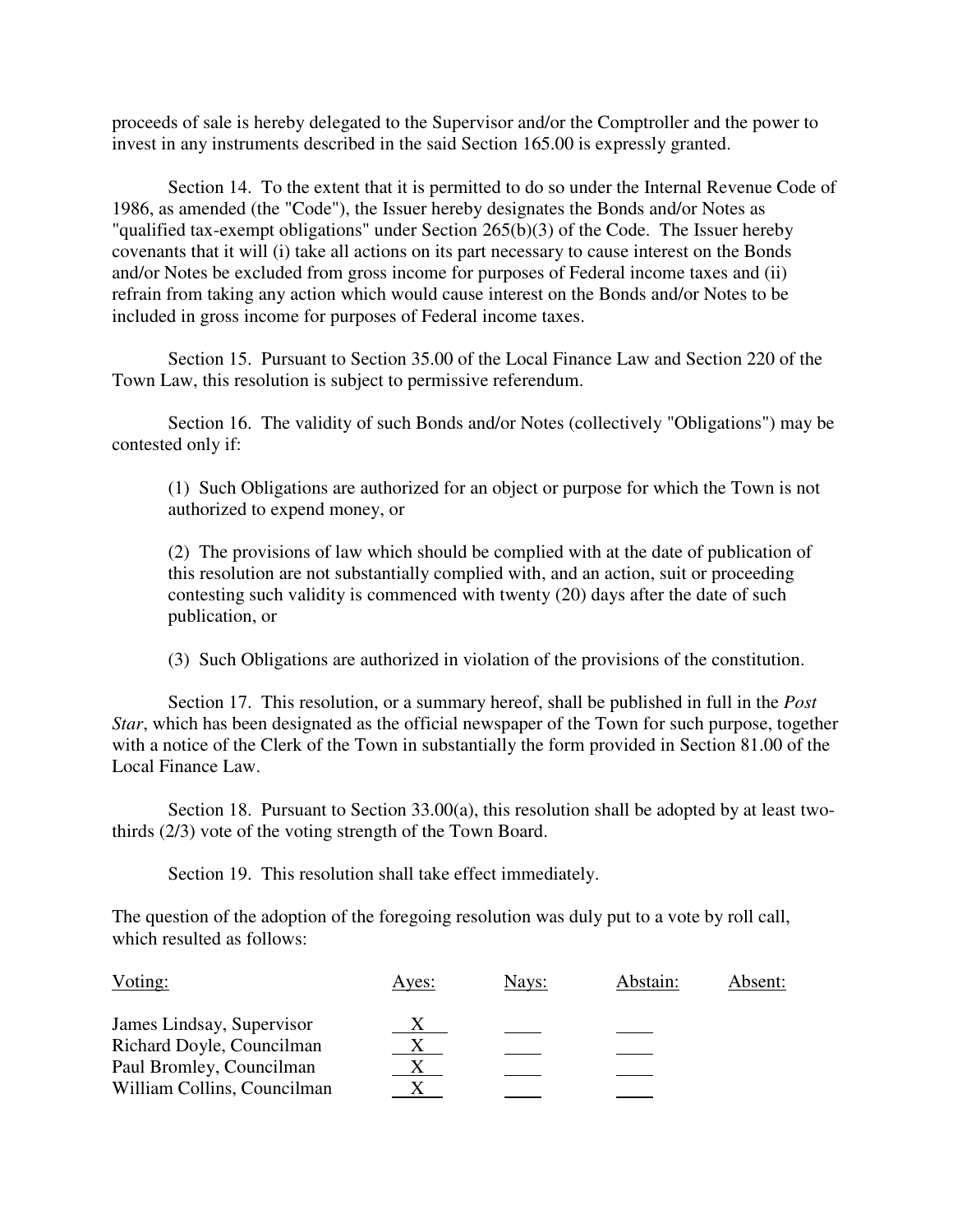proceeds of sale is hereby delegated to the Supervisor and/or the Comptroller and the power to invest in any instruments described in the said Section 165.00 is expressly granted.

 Section 14. To the extent that it is permitted to do so under the Internal Revenue Code of 1986, as amended (the "Code"), the Issuer hereby designates the Bonds and/or Notes as "qualified tax-exempt obligations" under Section 265(b)(3) of the Code. The Issuer hereby covenants that it will (i) take all actions on its part necessary to cause interest on the Bonds and/or Notes be excluded from gross income for purposes of Federal income taxes and (ii) refrain from taking any action which would cause interest on the Bonds and/or Notes to be included in gross income for purposes of Federal income taxes.

 Section 15. Pursuant to Section 35.00 of the Local Finance Law and Section 220 of the Town Law, this resolution is subject to permissive referendum.

 Section 16. The validity of such Bonds and/or Notes (collectively "Obligations") may be contested only if:

(1) Such Obligations are authorized for an object or purpose for which the Town is not authorized to expend money, or

(2) The provisions of law which should be complied with at the date of publication of this resolution are not substantially complied with, and an action, suit or proceeding contesting such validity is commenced with twenty (20) days after the date of such publication, or

(3) Such Obligations are authorized in violation of the provisions of the constitution.

 Section 17. This resolution, or a summary hereof, shall be published in full in the *Post Star*, which has been designated as the official newspaper of the Town for such purpose, together with a notice of the Clerk of the Town in substantially the form provided in Section 81.00 of the Local Finance Law.

 Section 18. Pursuant to Section 33.00(a), this resolution shall be adopted by at least twothirds (2/3) vote of the voting strength of the Town Board.

Section 19. This resolution shall take effect immediately.

The question of the adoption of the foregoing resolution was duly put to a vote by roll call, which resulted as follows:

| Voting:                     | Ayes: | Nays: | Abstain: | Absent: |
|-----------------------------|-------|-------|----------|---------|
| James Lindsay, Supervisor   |       |       |          |         |
| Richard Doyle, Councilman   |       |       |          |         |
| Paul Bromley, Councilman    |       |       |          |         |
| William Collins, Councilman |       |       |          |         |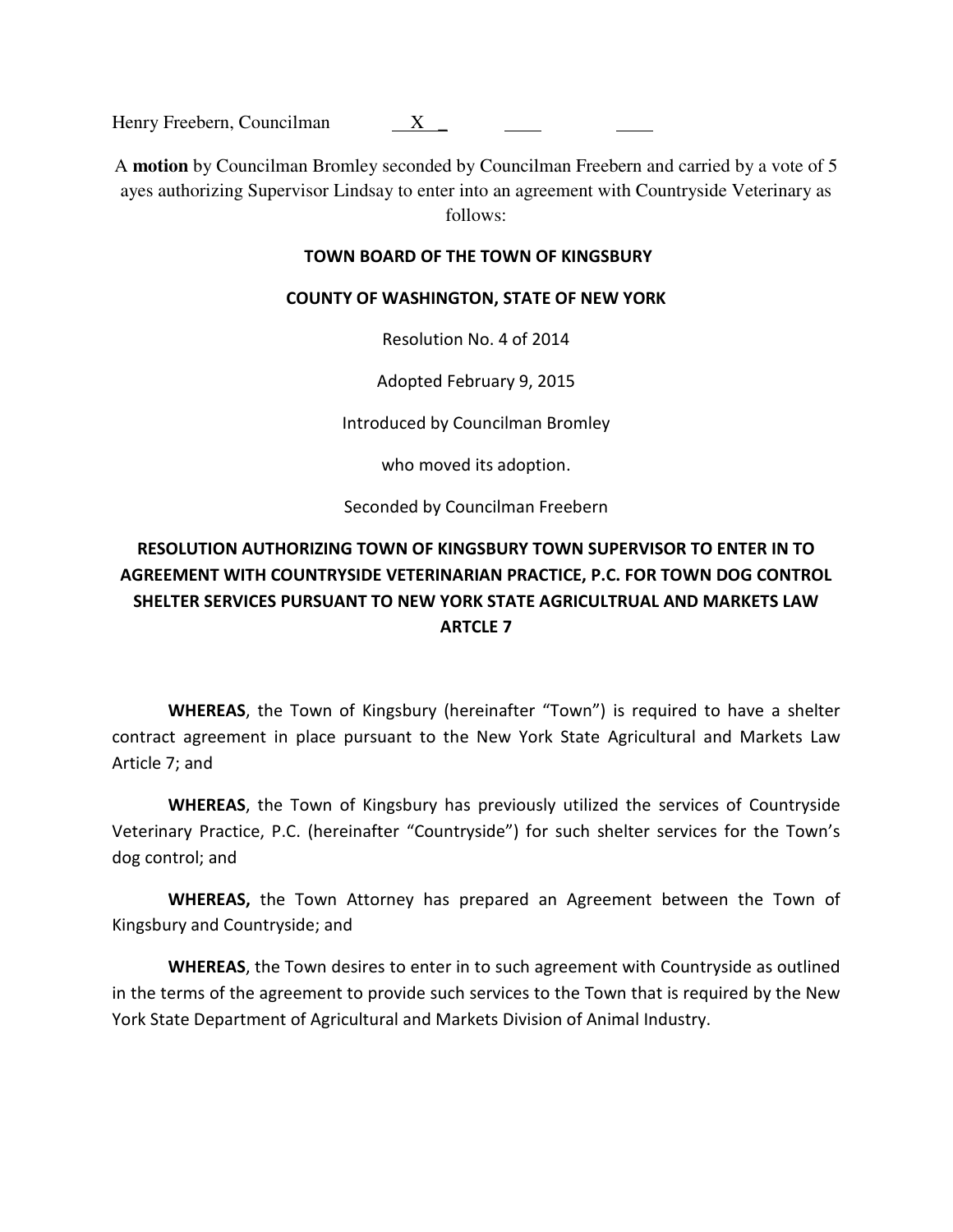Henry Freebern, Councilman X \_

A **motion** by Councilman Bromley seconded by Councilman Freebern and carried by a vote of 5 ayes authorizing Supervisor Lindsay to enter into an agreement with Countryside Veterinary as follows:

#### **TOWN BOARD OF THE TOWN OF KINGSBURY**

#### **COUNTY OF WASHINGTON, STATE OF NEW YORK**

Resolution No. 4 of 2014

Adopted February 9, 2015

Introduced by Councilman Bromley

who moved its adoption.

Seconded by Councilman Freebern

# **RESOLUTION AUTHORIZING TOWN OF KINGSBURY TOWN SUPERVISOR TO ENTER IN TO AGREEMENT WITH COUNTRYSIDE VETERINARIAN PRACTICE, P.C. FOR TOWN DOG CONTROL SHELTER SERVICES PURSUANT TO NEW YORK STATE AGRICULTRUAL AND MARKETS LAW ARTCLE 7**

 **WHEREAS**, the Town of Kingsbury (hereinafter "Town") is required to have a shelter contract agreement in place pursuant to the New York State Agricultural and Markets Law Article 7; and

**WHEREAS**, the Town of Kingsbury has previously utilized the services of Countryside Veterinary Practice, P.C. (hereinafter "Countryside") for such shelter services for the Town's dog control; and

**WHEREAS,** the Town Attorney has prepared an Agreement between the Town of Kingsbury and Countryside; and

**WHEREAS**, the Town desires to enter in to such agreement with Countryside as outlined in the terms of the agreement to provide such services to the Town that is required by the New York State Department of Agricultural and Markets Division of Animal Industry.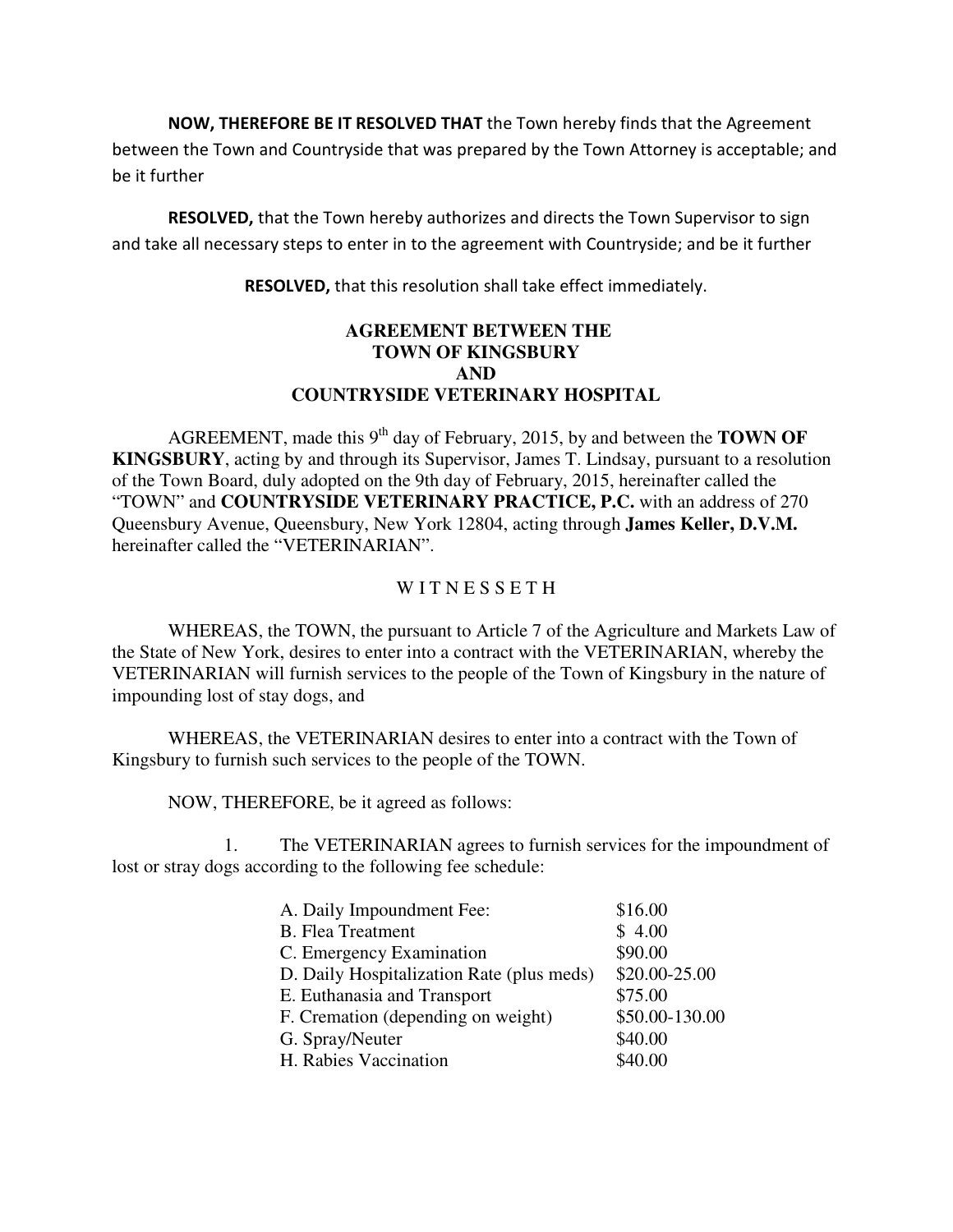**NOW, THEREFORE BE IT RESOLVED THAT** the Town hereby finds that the Agreement between the Town and Countryside that was prepared by the Town Attorney is acceptable; and be it further

**RESOLVED,** that the Town hereby authorizes and directs the Town Supervisor to sign and take all necessary steps to enter in to the agreement with Countryside; and be it further

**RESOLVED,** that this resolution shall take effect immediately.

#### **AGREEMENT BETWEEN THE TOWN OF KINGSBURY AND COUNTRYSIDE VETERINARY HOSPITAL**

AGREEMENT, made this 9<sup>th</sup> day of February, 2015, by and between the **TOWN OF KINGSBURY**, acting by and through its Supervisor, James T. Lindsay, pursuant to a resolution of the Town Board, duly adopted on the 9th day of February, 2015, hereinafter called the "TOWN" and **COUNTRYSIDE VETERINARY PRACTICE, P.C.** with an address of 270 Queensbury Avenue, Queensbury, New York 12804, acting through **James Keller, D.V.M.** hereinafter called the "VETERINARIAN".

#### W I T N E S S E T H

 WHEREAS, the TOWN, the pursuant to Article 7 of the Agriculture and Markets Law of the State of New York, desires to enter into a contract with the VETERINARIAN, whereby the VETERINARIAN will furnish services to the people of the Town of Kingsbury in the nature of impounding lost of stay dogs, and

 WHEREAS, the VETERINARIAN desires to enter into a contract with the Town of Kingsbury to furnish such services to the people of the TOWN.

NOW, THEREFORE, be it agreed as follows:

 1. The VETERINARIAN agrees to furnish services for the impoundment of lost or stray dogs according to the following fee schedule:

| A. Daily Impoundment Fee:                 | \$16.00        |
|-------------------------------------------|----------------|
| <b>B.</b> Flea Treatment                  | \$4.00         |
| C. Emergency Examination                  | \$90.00        |
| D. Daily Hospitalization Rate (plus meds) | \$20.00-25.00  |
| E. Euthanasia and Transport               | \$75.00        |
| F. Cremation (depending on weight)        | \$50.00-130.00 |
| G. Spray/Neuter                           | \$40.00        |
| H. Rabies Vaccination                     | \$40.00        |
|                                           |                |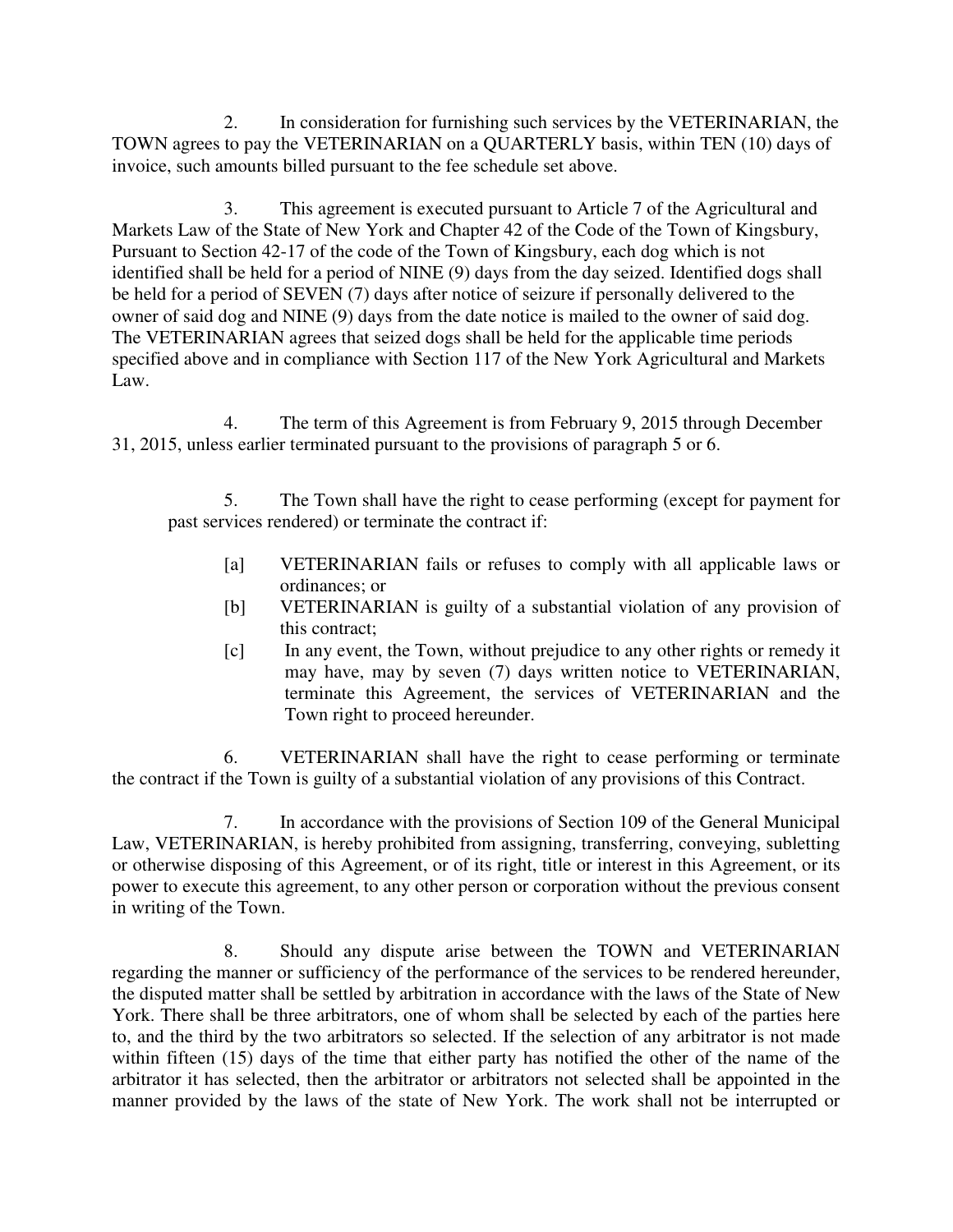2. In consideration for furnishing such services by the VETERINARIAN, the TOWN agrees to pay the VETERINARIAN on a QUARTERLY basis, within TEN (10) days of invoice, such amounts billed pursuant to the fee schedule set above.

 3. This agreement is executed pursuant to Article 7 of the Agricultural and Markets Law of the State of New York and Chapter 42 of the Code of the Town of Kingsbury, Pursuant to Section 42-17 of the code of the Town of Kingsbury, each dog which is not identified shall be held for a period of NINE (9) days from the day seized. Identified dogs shall be held for a period of SEVEN (7) days after notice of seizure if personally delivered to the owner of said dog and NINE (9) days from the date notice is mailed to the owner of said dog. The VETERINARIAN agrees that seized dogs shall be held for the applicable time periods specified above and in compliance with Section 117 of the New York Agricultural and Markets Law.

 4. The term of this Agreement is from February 9, 2015 through December 31, 2015, unless earlier terminated pursuant to the provisions of paragraph 5 or 6.

5. The Town shall have the right to cease performing (except for payment for past services rendered) or terminate the contract if:

- [a] VETERINARIAN fails or refuses to comply with all applicable laws or ordinances; or
- [b] VETERINARIAN is guilty of a substantial violation of any provision of this contract;
- [c] In any event, the Town, without prejudice to any other rights or remedy it may have, may by seven (7) days written notice to VETERINARIAN, terminate this Agreement, the services of VETERINARIAN and the Town right to proceed hereunder.

 6. VETERINARIAN shall have the right to cease performing or terminate the contract if the Town is guilty of a substantial violation of any provisions of this Contract.

 7. In accordance with the provisions of Section 109 of the General Municipal Law, VETERINARIAN, is hereby prohibited from assigning, transferring, conveying, subletting or otherwise disposing of this Agreement, or of its right, title or interest in this Agreement, or its power to execute this agreement, to any other person or corporation without the previous consent in writing of the Town.

 8. Should any dispute arise between the TOWN and VETERINARIAN regarding the manner or sufficiency of the performance of the services to be rendered hereunder, the disputed matter shall be settled by arbitration in accordance with the laws of the State of New York. There shall be three arbitrators, one of whom shall be selected by each of the parties here to, and the third by the two arbitrators so selected. If the selection of any arbitrator is not made within fifteen (15) days of the time that either party has notified the other of the name of the arbitrator it has selected, then the arbitrator or arbitrators not selected shall be appointed in the manner provided by the laws of the state of New York. The work shall not be interrupted or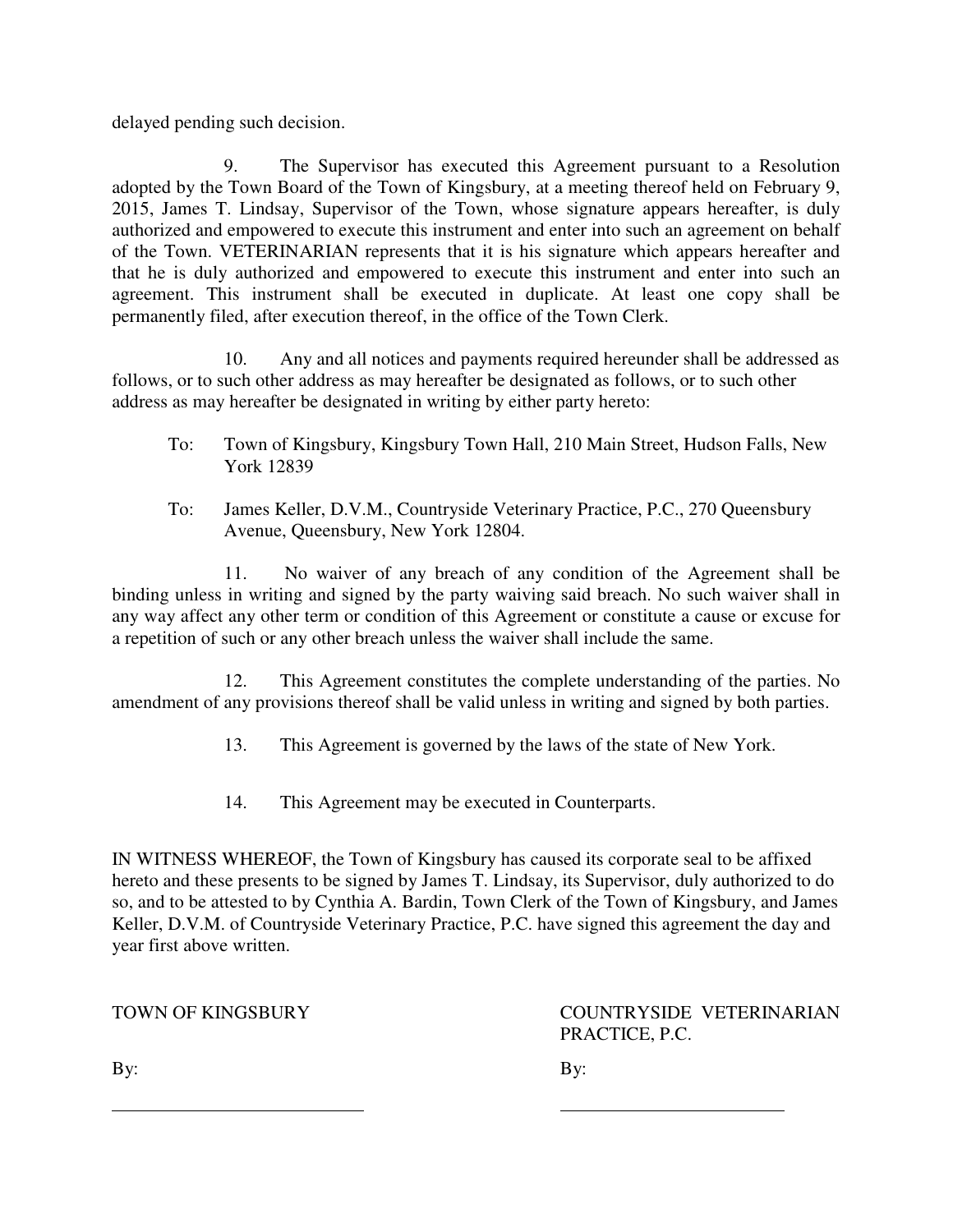delayed pending such decision.

 9. The Supervisor has executed this Agreement pursuant to a Resolution adopted by the Town Board of the Town of Kingsbury, at a meeting thereof held on February 9, 2015, James T. Lindsay, Supervisor of the Town, whose signature appears hereafter, is duly authorized and empowered to execute this instrument and enter into such an agreement on behalf of the Town. VETERINARIAN represents that it is his signature which appears hereafter and that he is duly authorized and empowered to execute this instrument and enter into such an agreement. This instrument shall be executed in duplicate. At least one copy shall be permanently filed, after execution thereof, in the office of the Town Clerk.

 10. Any and all notices and payments required hereunder shall be addressed as follows, or to such other address as may hereafter be designated as follows, or to such other address as may hereafter be designated in writing by either party hereto:

- To: Town of Kingsbury, Kingsbury Town Hall, 210 Main Street, Hudson Falls, New York 12839
- To: James Keller, D.V.M., Countryside Veterinary Practice, P.C., 270 Queensbury Avenue, Queensbury, New York 12804.

 11. No waiver of any breach of any condition of the Agreement shall be binding unless in writing and signed by the party waiving said breach. No such waiver shall in any way affect any other term or condition of this Agreement or constitute a cause or excuse for a repetition of such or any other breach unless the waiver shall include the same.

 12. This Agreement constitutes the complete understanding of the parties. No amendment of any provisions thereof shall be valid unless in writing and signed by both parties.

- 13. This Agreement is governed by the laws of the state of New York.
- 14. This Agreement may be executed in Counterparts.

l,

IN WITNESS WHEREOF, the Town of Kingsbury has caused its corporate seal to be affixed hereto and these presents to be signed by James T. Lindsay, its Supervisor, duly authorized to do so, and to be attested to by Cynthia A. Bardin, Town Clerk of the Town of Kingsbury, and James Keller, D.V.M. of Countryside Veterinary Practice, P.C. have signed this agreement the day and year first above written.

TOWN OF KINGSBURY COUNTRYSIDE VETERINARIAN PRACTICE, P.C.

By: By: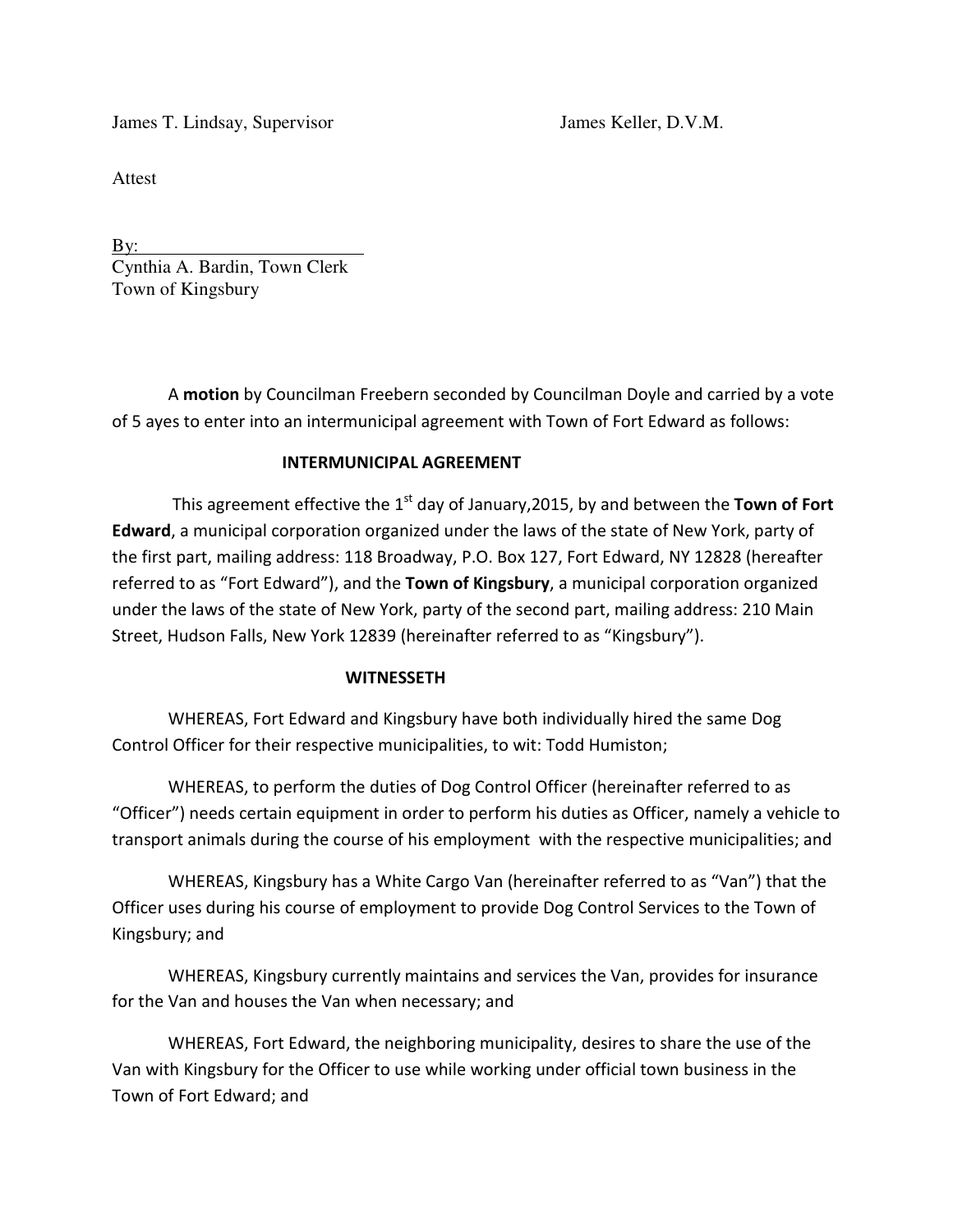James T. Lindsay, Supervisor James Keller, D.V.M.

Attest

By: Cynthia A. Bardin, Town Clerk Town of Kingsbury

A **motion** by Councilman Freebern seconded by Councilman Doyle and carried by a vote of 5 ayes to enter into an intermunicipal agreement with Town of Fort Edward as follows:

## **INTERMUNICIPAL AGREEMENT**

This agreement effective the 1<sup>st</sup> day of January, 2015, by and between the **Town of Fort Edward**, a municipal corporation organized under the laws of the state of New York, party of the first part, mailing address: 118 Broadway, P.O. Box 127, Fort Edward, NY 12828 (hereafter referred to as "Fort Edward"), and the **Town of Kingsbury**, a municipal corporation organized under the laws of the state of New York, party of the second part, mailing address: 210 Main Street, Hudson Falls, New York 12839 (hereinafter referred to as "Kingsbury").

#### **WITNESSETH**

WHEREAS, Fort Edward and Kingsbury have both individually hired the same Dog Control Officer for their respective municipalities, to wit: Todd Humiston;

WHEREAS, to perform the duties of Dog Control Officer (hereinafter referred to as "Officer") needs certain equipment in order to perform his duties as Officer, namely a vehicle to transport animals during the course of his employment with the respective municipalities; and

WHEREAS, Kingsbury has a White Cargo Van (hereinafter referred to as "Van") that the Officer uses during his course of employment to provide Dog Control Services to the Town of Kingsbury; and

WHEREAS, Kingsbury currently maintains and services the Van, provides for insurance for the Van and houses the Van when necessary; and

WHEREAS, Fort Edward, the neighboring municipality, desires to share the use of the Van with Kingsbury for the Officer to use while working under official town business in the Town of Fort Edward; and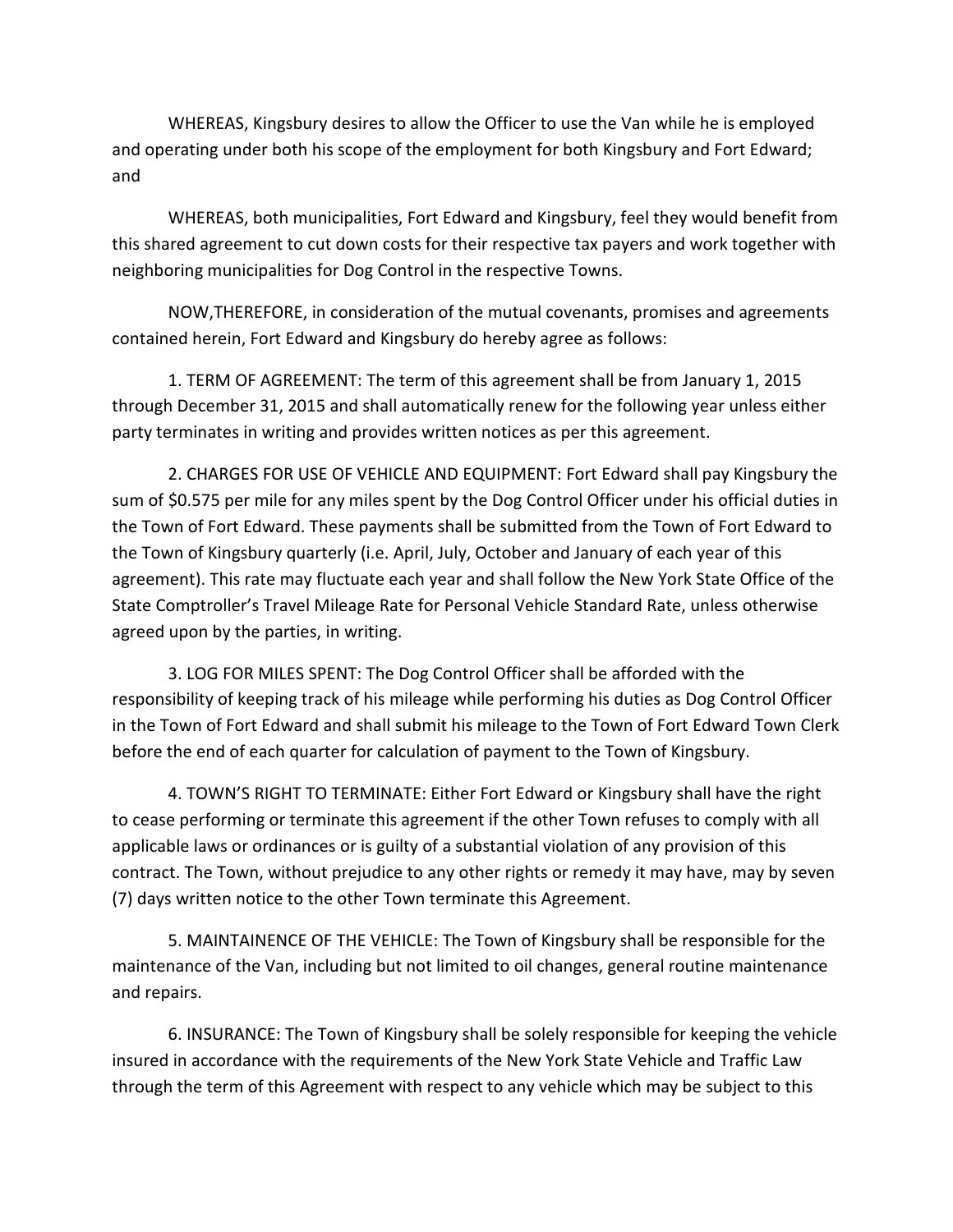WHEREAS, Kingsbury desires to allow the Officer to use the Van while he is employed and operating under both his scope of the employment for both Kingsbury and Fort Edward; and

WHEREAS, both municipalities, Fort Edward and Kingsbury, feel they would benefit from this shared agreement to cut down costs for their respective tax payers and work together with neighboring municipalities for Dog Control in the respective Towns.

NOW,THEREFORE, in consideration of the mutual covenants, promises and agreements contained herein, Fort Edward and Kingsbury do hereby agree as follows:

1. TERM OF AGREEMENT: The term of this agreement shall be from January 1, 2015 through December 31, 2015 and shall automatically renew for the following year unless either party terminates in writing and provides written notices as per this agreement.

2. CHARGES FOR USE OF VEHICLE AND EQUIPMENT: Fort Edward shall pay Kingsbury the sum of \$0.575 per mile for any miles spent by the Dog Control Officer under his official duties in the Town of Fort Edward. These payments shall be submitted from the Town of Fort Edward to the Town of Kingsbury quarterly (i.e. April, July, October and January of each year of this agreement). This rate may fluctuate each year and shall follow the New York State Office of the State Comptroller's Travel Mileage Rate for Personal Vehicle Standard Rate, unless otherwise agreed upon by the parties, in writing.

3. LOG FOR MILES SPENT: The Dog Control Officer shall be afforded with the responsibility of keeping track of his mileage while performing his duties as Dog Control Officer in the Town of Fort Edward and shall submit his mileage to the Town of Fort Edward Town Clerk before the end of each quarter for calculation of payment to the Town of Kingsbury.

4. TOWN'S RIGHT TO TERMINATE: Either Fort Edward or Kingsbury shall have the right to cease performing or terminate this agreement if the other Town refuses to comply with all applicable laws or ordinances or is guilty of a substantial violation of any provision of this contract. The Town, without prejudice to any other rights or remedy it may have, may by seven (7) days written notice to the other Town terminate this Agreement.

5. MAINTAINENCE OF THE VEHICLE: The Town of Kingsbury shall be responsible for the maintenance of the Van, including but not limited to oil changes, general routine maintenance and repairs.

6. INSURANCE: The Town of Kingsbury shall be solely responsible for keeping the vehicle insured in accordance with the requirements of the New York State Vehicle and Traffic Law through the term of this Agreement with respect to any vehicle which may be subject to this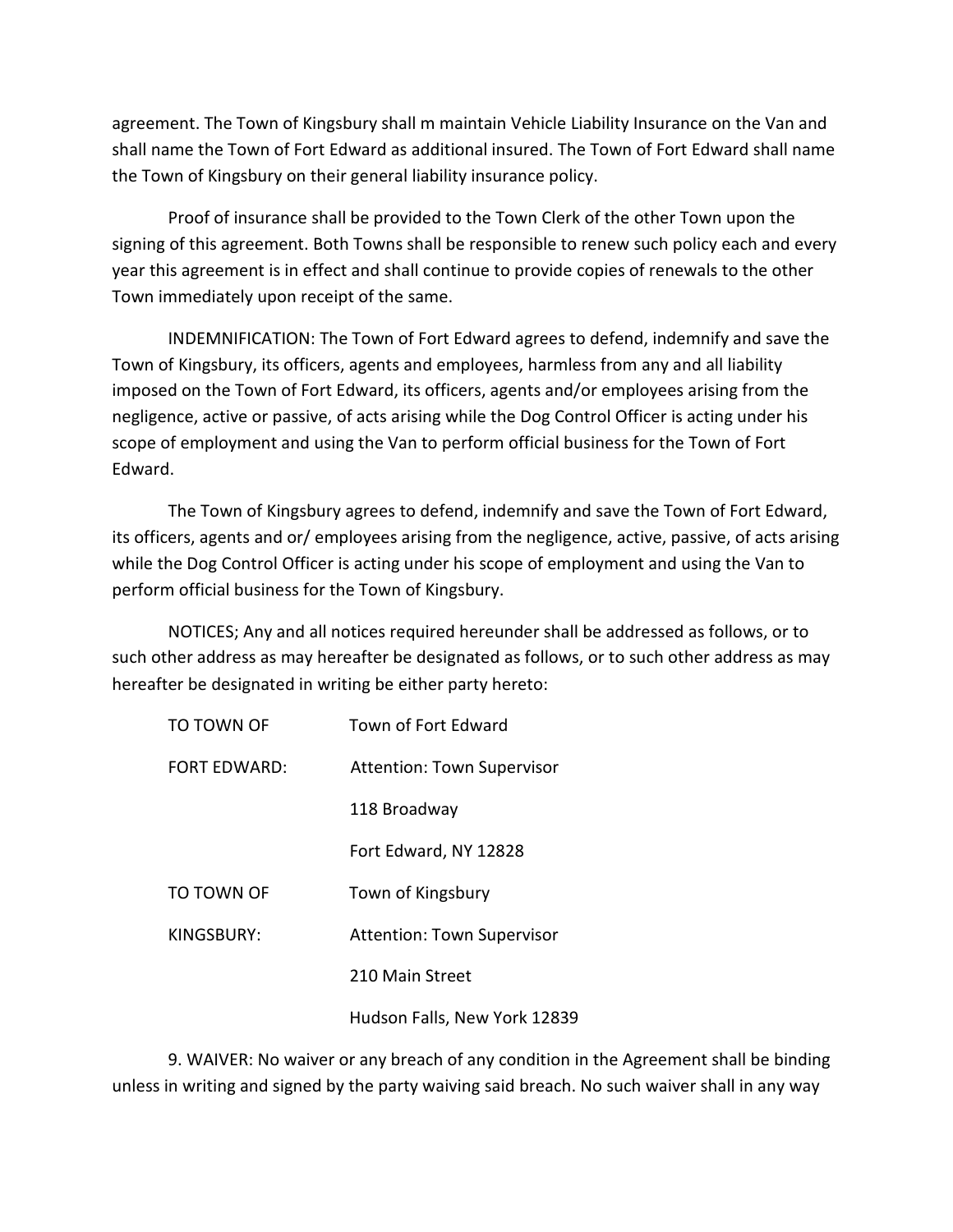agreement. The Town of Kingsbury shall m maintain Vehicle Liability Insurance on the Van and shall name the Town of Fort Edward as additional insured. The Town of Fort Edward shall name the Town of Kingsbury on their general liability insurance policy.

Proof of insurance shall be provided to the Town Clerk of the other Town upon the signing of this agreement. Both Towns shall be responsible to renew such policy each and every year this agreement is in effect and shall continue to provide copies of renewals to the other Town immediately upon receipt of the same.

INDEMNIFICATION: The Town of Fort Edward agrees to defend, indemnify and save the Town of Kingsbury, its officers, agents and employees, harmless from any and all liability imposed on the Town of Fort Edward, its officers, agents and/or employees arising from the negligence, active or passive, of acts arising while the Dog Control Officer is acting under his scope of employment and using the Van to perform official business for the Town of Fort Edward.

The Town of Kingsbury agrees to defend, indemnify and save the Town of Fort Edward, its officers, agents and or/ employees arising from the negligence, active, passive, of acts arising while the Dog Control Officer is acting under his scope of employment and using the Van to perform official business for the Town of Kingsbury.

NOTICES; Any and all notices required hereunder shall be addressed as follows, or to such other address as may hereafter be designated as follows, or to such other address as may hereafter be designated in writing be either party hereto:

| TO TOWN OF          | Town of Fort Edward               |
|---------------------|-----------------------------------|
| <b>FORT FDWARD:</b> | <b>Attention: Town Supervisor</b> |
|                     | 118 Broadway                      |
|                     | Fort Edward, NY 12828             |
| TO TOWN OF          | Town of Kingsbury                 |
| KINGSBURY:          | <b>Attention: Town Supervisor</b> |
|                     | 210 Main Street                   |
|                     | Hudson Falls, New York 12839      |

9. WAIVER: No waiver or any breach of any condition in the Agreement shall be binding unless in writing and signed by the party waiving said breach. No such waiver shall in any way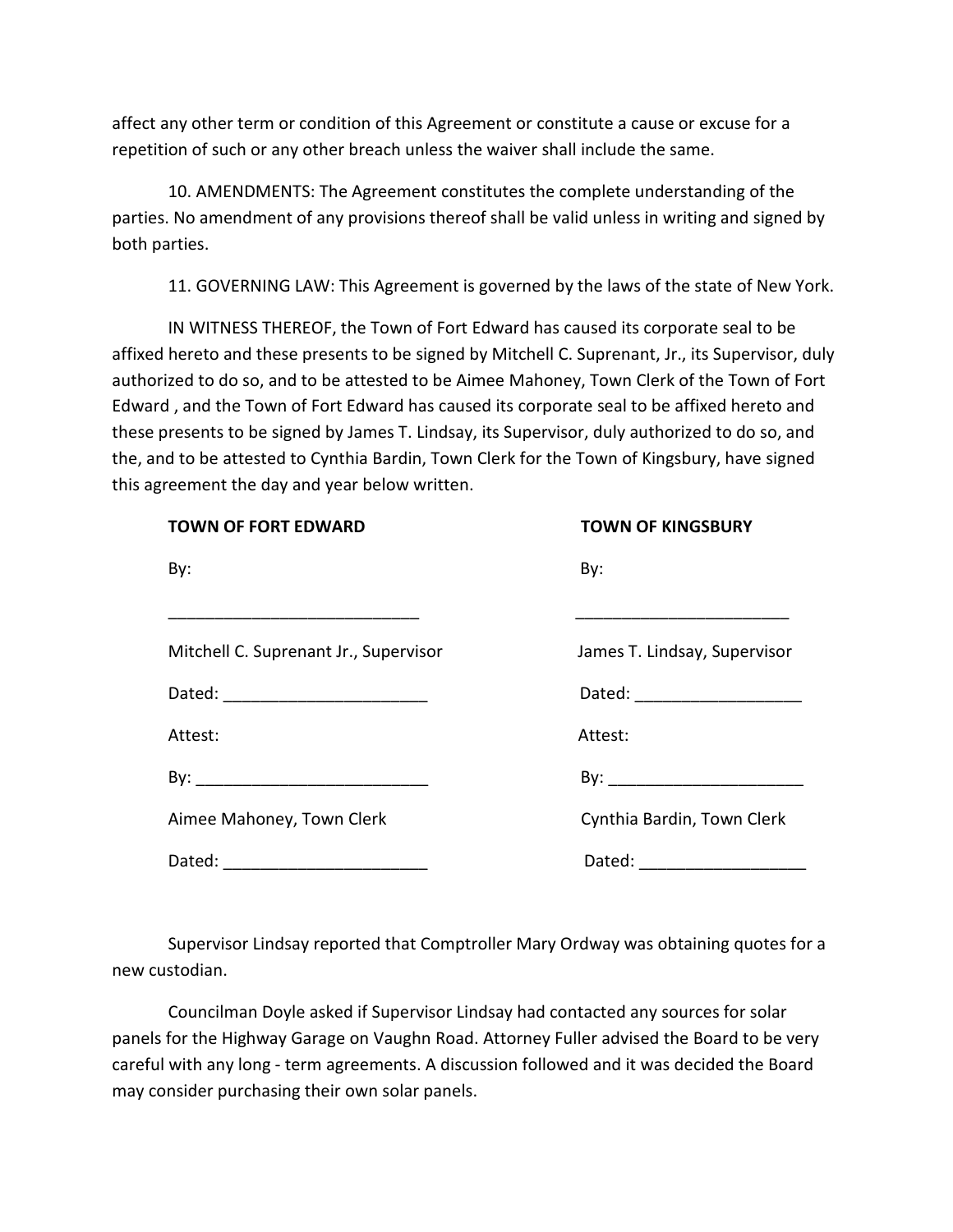affect any other term or condition of this Agreement or constitute a cause or excuse for a repetition of such or any other breach unless the waiver shall include the same.

10. AMENDMENTS: The Agreement constitutes the complete understanding of the parties. No amendment of any provisions thereof shall be valid unless in writing and signed by both parties.

11. GOVERNING LAW: This Agreement is governed by the laws of the state of New York.

IN WITNESS THEREOF, the Town of Fort Edward has caused its corporate seal to be affixed hereto and these presents to be signed by Mitchell C. Suprenant, Jr., its Supervisor, duly authorized to do so, and to be attested to be Aimee Mahoney, Town Clerk of the Town of Fort Edward , and the Town of Fort Edward has caused its corporate seal to be affixed hereto and these presents to be signed by James T. Lindsay, its Supervisor, duly authorized to do so, and the, and to be attested to Cynthia Bardin, Town Clerk for the Town of Kingsbury, have signed this agreement the day and year below written.

| <b>TOWN OF FORT EDWARD</b>            | <b>TOWN OF KINGSBURY</b>     |
|---------------------------------------|------------------------------|
| By:                                   | By:                          |
|                                       |                              |
| Mitchell C. Suprenant Jr., Supervisor | James T. Lindsay, Supervisor |
| Dated: ___________________________    | Dated: ___________________   |
| Attest:                               | Attest:                      |
|                                       |                              |
| Aimee Mahoney, Town Clerk             | Cynthia Bardin, Town Clerk   |
| Dated: __________________________     | Dated: _________________     |

Supervisor Lindsay reported that Comptroller Mary Ordway was obtaining quotes for a new custodian.

Councilman Doyle asked if Supervisor Lindsay had contacted any sources for solar panels for the Highway Garage on Vaughn Road. Attorney Fuller advised the Board to be very careful with any long - term agreements. A discussion followed and it was decided the Board may consider purchasing their own solar panels.